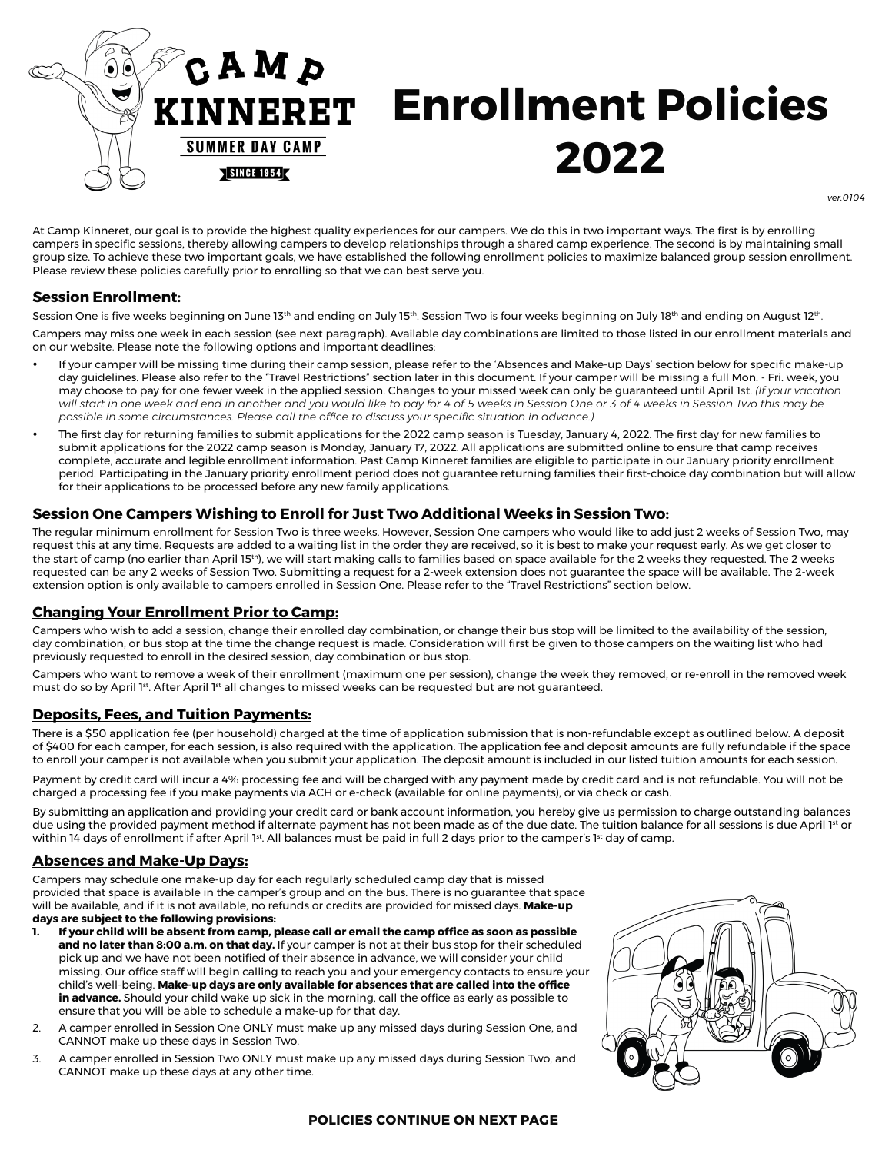

*ver.0104*

At Camp Kinneret, our goal is to provide the highest quality experiences for our campers. We do this in two important ways. The first is by enrolling campers in specific sessions, thereby allowing campers to develop relationships through a shared camp experience. The second is by maintaining small group size. To achieve these two important goals, we have established the following enrollment policies to maximize balanced group session enrollment. Please review these policies carefully prior to enrolling so that we can best serve you.

## **Session Enrollment:**

Session One is five weeks beginning on June 13<sup>th</sup> and ending on July 15<sup>th</sup>. Session Two is four weeks beginning on July 18<sup>th</sup> and ending on August 12<sup>th</sup>.

Campers may miss one week in each session (see next paragraph). Available day combinations are limited to those listed in our enrollment materials and on our website. Please note the following options and important deadlines:

- If your camper will be missing time during their camp session, please refer to the 'Absences and Make-up Days' section below for specific make-up day guidelines. Please also refer to the "Travel Restrictions" section later in this document. If your camper will be missing a full Mon. - Fri. week, you may choose to pay for one fewer week in the applied session. Changes to your missed week can only be guaranteed until April 1st. *(If your vacation will start in one week and end in another and you would like to pay for 4 of 5 weeks in Session One or 3 of 4 weeks in Session Two this may be possible in some circumstances. Please call the office to discuss your specific situation in advance.)*
- The first day for returning families to submit applications for the 2022 camp season is Tuesday, January 4, 2022. The first day for new families to submit applications for the 2022 camp season is Monday, January 17, 2022. All applications are submitted online to ensure that camp receives complete, accurate and legible enrollment information. Past Camp Kinneret families are eligible to participate in our January priority enrollment period. Participating in the January priority enrollment period does not guarantee returning families their first-choice day combination but will allow for their applications to be processed before any new family applications.

## **Session One Campers Wishing to Enroll for Just Two Additional Weeks in Session Two:**

The regular minimum enrollment for Session Two is three weeks. However, Session One campers who would like to add just 2 weeks of Session Two, may request this at any time. Requests are added to a waiting list in the order they are received, so it is best to make your request early. As we get closer to the start of camp (no earlier than April 15<sup>th</sup>), we will start making calls to families based on space available for the 2 weeks they requested. The 2 weeks requested can be any 2 weeks of Session Two. Submitting a request for a 2-week extension does not guarantee the space will be available. The 2-week extension option is only available to campers enrolled in Session One. Please refer to the "Travel Restrictions" section below.

## **Changing Your Enrollment Prior to Camp:**

Campers who wish to add a session, change their enrolled day combination, or change their bus stop will be limited to the availability of the session, day combination, or bus stop at the time the change request is made. Consideration will first be given to those campers on the waiting list who had previously requested to enroll in the desired session, day combination or bus stop.

Campers who want to remove a week of their enrollment (maximum one per session), change the week they removed, or re-enroll in the removed week must do so by April 1st. After April 1st all changes to missed weeks can be requested but are not guaranteed.

## **Deposits, Fees, and Tuition Payments:**

There is a \$50 application fee (per household) charged at the time of application submission that is non-refundable except as outlined below. A deposit of \$400 for each camper, for each session, is also required with the application. The application fee and deposit amounts are fully refundable if the space to enroll your camper is not available when you submit your application. The deposit amount is included in our listed tuition amounts for each session.

Payment by credit card will incur a 4% processing fee and will be charged with any payment made by credit card and is not refundable. You will not be charged a processing fee if you make payments via ACH or e-check (available for online payments), or via check or cash.

By submitting an application and providing your credit card or bank account information, you hereby give us permission to charge outstanding balances due using the provided payment method if alternate payment has not been made as of the due date. The tuition balance for all sessions is due April 1st or within 14 days of enrollment if after April 1st. All balances must be paid in full 2 days prior to the camper's 1st day of camp.

#### **Absences and Make-Up Days:**

Campers may schedule one make-up day for each regularly scheduled camp day that is missed provided that space is available in the camper's group and on the bus. There is no guarantee that space will be available, and if it is not available, no refunds or credits are provided for missed days. **Make-up days are subject to the following provisions:**

- **1. If your child will be absent from camp, please call or email the camp office as soon as possible and no later than 8:00 a.m. on that day.** If your camper is not at their bus stop for their scheduled pick up and we have not been notified of their absence in advance, we will consider your child missing. Our office staff will begin calling to reach you and your emergency contacts to ensure your child's well-being. **Make-up days are only available for absences that are called into the office in advance.** Should your child wake up sick in the morning, call the office as early as possible to ensure that you will be able to schedule a make-up for that day.
- 2. A camper enrolled in Session One ONLY must make up any missed days during Session One, and CANNOT make up these days in Session Two.
- 3. A camper enrolled in Session Two ONLY must make up any missed days during Session Two, and CANNOT make up these days at any other time.



**POLICIES CONTINUE ON NEXT PAGE**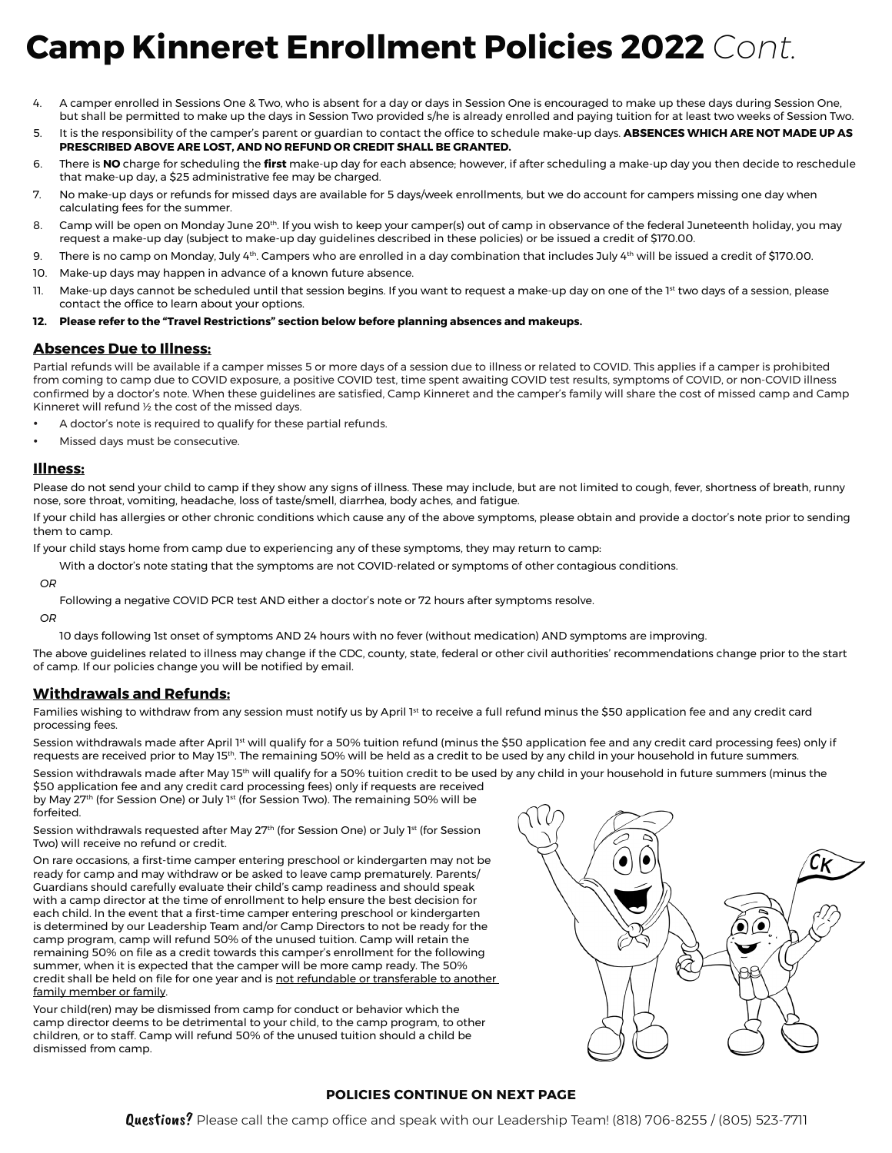# **Camp Kinneret Enrollment Policies 2022** *Cont.*

- 4. A camper enrolled in Sessions One & Two, who is absent for a day or days in Session One is encouraged to make up these days during Session One, but shall be permitted to make up the days in Session Two provided s/he is already enrolled and paying tuition for at least two weeks of Session Two.
- 5. It is the responsibility of the camper's parent or guardian to contact the office to schedule make-up days. **ABSENCES WHICH ARE NOT MADE UP AS PRESCRIBED ABOVE ARE LOST, AND NO REFUND OR CREDIT SHALL BE GRANTED.**
- 6. There is **NO** charge for scheduling the **first** make-up day for each absence; however, if after scheduling a make-up day you then decide to reschedule that make-up day, a \$25 administrative fee may be charged.
- 7. No make-up days or refunds for missed days are available for 5 days/week enrollments, but we do account for campers missing one day when calculating fees for the summer.
- 8. Camp will be open on Monday June 20<sup>th</sup>. If you wish to keep your camper(s) out of camp in observance of the federal Juneteenth holiday, you may request a make-up day (subject to make-up day guidelines described in these policies) or be issued a credit of \$170.00.
- 9. There is no camp on Monday, July 4th. Campers who are enrolled in a day combination that includes July 4th will be issued a credit of \$170.00.
- 10. Make-up days may happen in advance of a known future absence.
- 11. Make-up days cannot be scheduled until that session begins. If you want to request a make-up day on one of the 1<sup>st</sup> two days of a session, please contact the office to learn about your options.

#### **12. Please refer to the "Travel Restrictions" section below before planning absences and makeups.**

### **Absences Due to Illness:**

Partial refunds will be available if a camper misses 5 or more days of a session due to illness or related to COVID. This applies if a camper is prohibited from coming to camp due to COVID exposure, a positive COVID test, time spent awaiting COVID test results, symptoms of COVID, or non-COVID illness confirmed by a doctor's note. When these guidelines are satisfied, Camp Kinneret and the camper's family will share the cost of missed camp and Camp Kinneret will refund ½ the cost of the missed days.

- A doctor's note is required to qualify for these partial refunds.
- Missed days must be consecutive.

#### **Illness:**

Please do not send your child to camp if they show any signs of illness. These may include, but are not limited to cough, fever, shortness of breath, runny nose, sore throat, vomiting, headache, loss of taste/smell, diarrhea, body aches, and fatigue.

If your child has allergies or other chronic conditions which cause any of the above symptoms, please obtain and provide a doctor's note prior to sending them to camp.

If your child stays home from camp due to experiencing any of these symptoms, they may return to camp:

With a doctor's note stating that the symptoms are not COVID-related or symptoms of other contagious conditions.

*OR*

Following a negative COVID PCR test AND either a doctor's note or 72 hours after symptoms resolve.

*OR*

10 days following 1st onset of symptoms AND 24 hours with no fever (without medication) AND symptoms are improving.

The above guidelines related to illness may change if the CDC, county, state, federal or other civil authorities' recommendations change prior to the start of camp. If our policies change you will be notified by email.

#### **Withdrawals and Refunds:**

Families wishing to withdraw from any session must notify us by April 1st to receive a full refund minus the \$50 application fee and any credit card processing fees.

Session withdrawals made after April 1st will qualify for a 50% tuition refund (minus the \$50 application fee and any credit card processing fees) only if requests are received prior to May 15<sup>th</sup>. The remaining 50% will be held as a credit to be used by any child in your household in future summers.

Session withdrawals made after May 15<sup>th</sup> will qualify for a 50% tuition credit to be used by any child in your household in future summers (minus the \$50 application fee and any credit card processing fees) only if requests are received

by May 27<sup>th</sup> (for Session One) or July 1<sup>st</sup> (for Session Two). The remaining 50% will be forfeited.

Session withdrawals requested after May 27<sup>th</sup> (for Session One) or July 1<sup>st</sup> (for Session Two) will receive no refund or credit.

On rare occasions, a first-time camper entering preschool or kindergarten may not be ready for camp and may withdraw or be asked to leave camp prematurely. Parents/ Guardians should carefully evaluate their child's camp readiness and should speak with a camp director at the time of enrollment to help ensure the best decision for each child. In the event that a first-time camper entering preschool or kindergarten is determined by our Leadership Team and/or Camp Directors to not be ready for the camp program, camp will refund 50% of the unused tuition. Camp will retain the remaining 50% on file as a credit towards this camper's enrollment for the following summer, when it is expected that the camper will be more camp ready. The 50% credit shall be held on file for one year and is not refundable or transferable to another family member or family.

Your child(ren) may be dismissed from camp for conduct or behavior which the camp director deems to be detrimental to your child, to the camp program, to other children, or to staff. Camp will refund 50% of the unused tuition should a child be dismissed from camp.



#### **POLICIES CONTINUE ON NEXT PAGE**